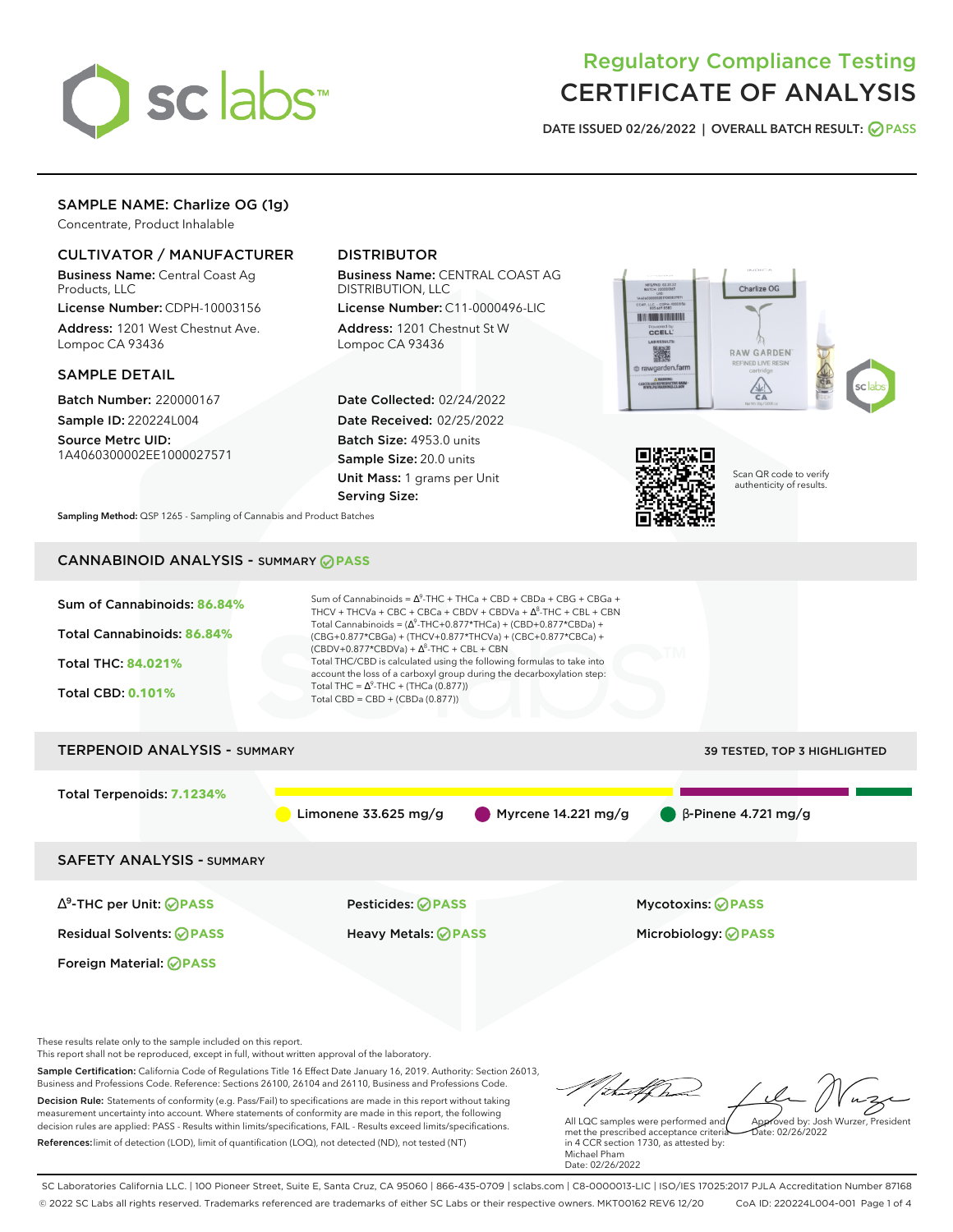

# Regulatory Compliance Testing CERTIFICATE OF ANALYSIS

**DATE ISSUED 02/26/2022 | OVERALL BATCH RESULT: PASS**

# SAMPLE NAME: Charlize OG (1g)

Concentrate, Product Inhalable

### CULTIVATOR / MANUFACTURER

Business Name: Central Coast Ag Products, LLC

License Number: CDPH-10003156 Address: 1201 West Chestnut Ave. Lompoc CA 93436

#### SAMPLE DETAIL

Batch Number: 220000167 Sample ID: 220224L004

Source Metrc UID: 1A4060300002EE1000027571

# DISTRIBUTOR

Business Name: CENTRAL COAST AG DISTRIBUTION, LLC

License Number: C11-0000496-LIC Address: 1201 Chestnut St W Lompoc CA 93436

Date Collected: 02/24/2022 Date Received: 02/25/2022 Batch Size: 4953.0 units Sample Size: 20.0 units Unit Mass: 1 grams per Unit Serving Size:





Scan QR code to verify authenticity of results.

**Sampling Method:** QSP 1265 - Sampling of Cannabis and Product Batches

# CANNABINOID ANALYSIS - SUMMARY **PASS**



These results relate only to the sample included on this report.

This report shall not be reproduced, except in full, without written approval of the laboratory.

Sample Certification: California Code of Regulations Title 16 Effect Date January 16, 2019. Authority: Section 26013, Business and Professions Code. Reference: Sections 26100, 26104 and 26110, Business and Professions Code. Decision Rule: Statements of conformity (e.g. Pass/Fail) to specifications are made in this report without taking measurement uncertainty into account. Where statements of conformity are made in this report, the following decision rules are applied: PASS - Results within limits/specifications, FAIL - Results exceed limits/specifications.

References:limit of detection (LOD), limit of quantification (LOQ), not detected (ND), not tested (NT)

tufften Approved by: Josh Wurzer, President

 $ate: 02/26/2022$ 

All LQC samples were performed and met the prescribed acceptance criteria in 4 CCR section 1730, as attested by: Michael Pham Date: 02/26/2022

SC Laboratories California LLC. | 100 Pioneer Street, Suite E, Santa Cruz, CA 95060 | 866-435-0709 | sclabs.com | C8-0000013-LIC | ISO/IES 17025:2017 PJLA Accreditation Number 87168 © 2022 SC Labs all rights reserved. Trademarks referenced are trademarks of either SC Labs or their respective owners. MKT00162 REV6 12/20 CoA ID: 220224L004-001 Page 1 of 4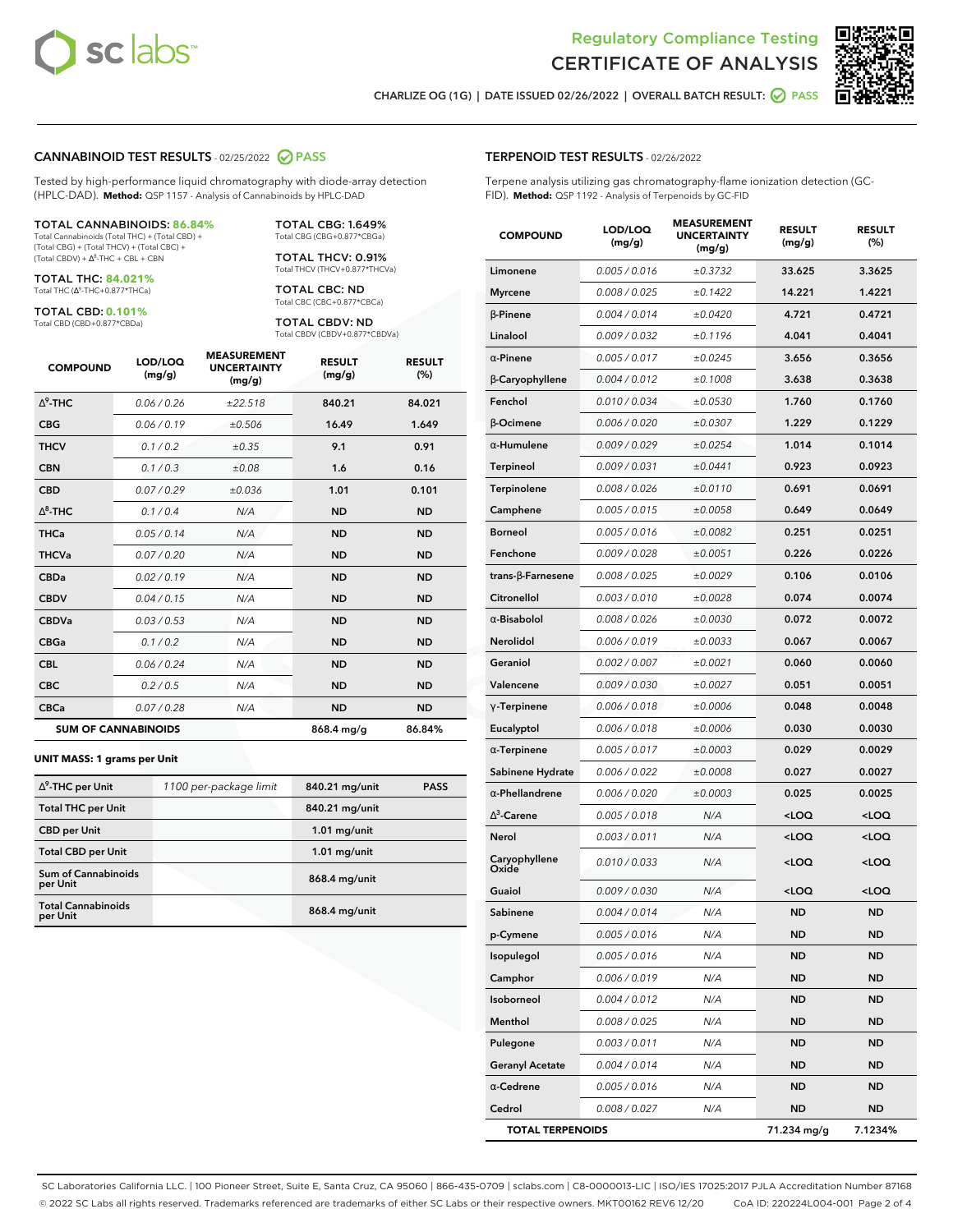

Terpene analysis utilizing gas chromatography-flame ionization detection (GC-



**RESULT (%)**

**CHARLIZE OG (1G) | DATE ISSUED 02/26/2022 | OVERALL BATCH RESULT: PASS**

**TERPENOID TEST RESULTS** - 02/26/2022

#### **CANNABINOID TEST RESULTS** - 02/25/2022 **PASS**

Tested by high-performance liquid chromatography with diode-array detection (HPLC-DAD). **Method:** QSP 1157 - Analysis of Cannabinoids by HPLC-DAD

#### TOTAL CANNABINOIDS: **86.84%**

Total Cannabinoids (Total THC) + (Total CBD) + (Total CBG) + (Total THCV) + (Total CBC) +  $(Total CBDV) +  $\Delta^8$ -THC + CBL + CBN$ 

TOTAL THC: **84.021%** Total THC (Ƽ-THC+0.877\*THCa)

TOTAL CBD: **0.101%**

Total CBD (CBD+0.877\*CBDa)

TOTAL CBG: 1.649% Total CBG (CBG+0.877\*CBGa)

TOTAL THCV: 0.91% Total THCV (THCV+0.877\*THCVa)

TOTAL CBC: ND Total CBC (CBC+0.877\*CBCa)

TOTAL CBDV: ND Total CBDV (CBDV+0.877\*CBDVa)

| <b>COMPOUND</b>            | LOD/LOQ<br>(mg/g) | <b>MEASUREMENT</b><br><b>UNCERTAINTY</b><br>(mg/g) | <b>RESULT</b><br>(mg/g) | <b>RESULT</b><br>(%) |
|----------------------------|-------------------|----------------------------------------------------|-------------------------|----------------------|
| $\Delta^9$ -THC            | 0.06/0.26         | ±22.518                                            | 840.21                  | 84.021               |
| <b>CBG</b>                 | 0.06/0.19         | ±0.506                                             | 16.49                   | 1.649                |
| <b>THCV</b>                | 0.1/0.2           | ±0.35                                              | 9.1                     | 0.91                 |
| <b>CBN</b>                 | 0.1/0.3           | ±0.08                                              | 1.6                     | 0.16                 |
| <b>CBD</b>                 | 0.07/0.29         | ±0.036                                             | 1.01                    | 0.101                |
| $\Delta^8$ -THC            | 0.1/0.4           | N/A                                                | <b>ND</b>               | <b>ND</b>            |
| <b>THCa</b>                | 0.05/0.14         | N/A                                                | <b>ND</b>               | <b>ND</b>            |
| <b>THCVa</b>               | 0.07 / 0.20       | N/A                                                | <b>ND</b>               | <b>ND</b>            |
| <b>CBDa</b>                | 0.02/0.19         | N/A                                                | <b>ND</b>               | <b>ND</b>            |
| <b>CBDV</b>                | 0.04 / 0.15       | N/A                                                | <b>ND</b>               | <b>ND</b>            |
| <b>CBDVa</b>               | 0.03/0.53         | N/A                                                | <b>ND</b>               | <b>ND</b>            |
| <b>CBGa</b>                | 0.1/0.2           | N/A                                                | <b>ND</b>               | <b>ND</b>            |
| <b>CBL</b>                 | 0.06 / 0.24       | N/A                                                | <b>ND</b>               | <b>ND</b>            |
| <b>CBC</b>                 | 0.2 / 0.5         | N/A                                                | <b>ND</b>               | <b>ND</b>            |
| <b>CBCa</b>                | 0.07/0.28         | N/A                                                | <b>ND</b>               | <b>ND</b>            |
| <b>SUM OF CANNABINOIDS</b> |                   |                                                    | 868.4 mg/g              | 86.84%               |

#### **UNIT MASS: 1 grams per Unit**

| $\Delta^9$ -THC per Unit               | 1100 per-package limit | 840.21 mg/unit | <b>PASS</b> |
|----------------------------------------|------------------------|----------------|-------------|
| <b>Total THC per Unit</b>              |                        | 840.21 mg/unit |             |
| <b>CBD per Unit</b>                    |                        | $1.01$ mg/unit |             |
| <b>Total CBD per Unit</b>              |                        | $1.01$ mg/unit |             |
| <b>Sum of Cannabinoids</b><br>per Unit |                        | 868.4 mg/unit  |             |
| <b>Total Cannabinoids</b><br>per Unit  |                        | 868.4 mg/unit  |             |

|                | FID). Method: QSP 1192 - Analysis of Terpenoids by GC-FID |                   |                                                    |                         |                       |
|----------------|-----------------------------------------------------------|-------------------|----------------------------------------------------|-------------------------|-----------------------|
|                | <b>COMPOUND</b>                                           | LOD/LOQ<br>(mg/g) | <b>MEASUREMENT</b><br><b>UNCERTAINTY</b><br>(mg/g) | <b>RESULT</b><br>(mg/g) | <b>RESULT</b><br>(% ) |
|                | Limonene                                                  | 0.005 / 0.016     | ±0.3732                                            | 33.625                  | 3.3625                |
|                | <b>Myrcene</b>                                            | 0.008 / 0.025     | ±0.1422                                            | 14.221                  | 1.4221                |
|                | $\beta$ -Pinene                                           | 0.004 / 0.014     | ±0.0420                                            | 4.721                   | 0.4721                |
|                | Linalool                                                  | 0.009 / 0.032     | ±0.1196                                            | 4.041                   | 0.4041                |
| JLT            | $\alpha$ -Pinene                                          | 0.005 / 0.017     | ±0.0245                                            | 3.656                   | 0.3656                |
| >)             | β-Caryophyllene                                           | 0.004 / 0.012     | ±0.1008                                            | 3.638                   | 0.3638                |
| 21             | Fenchol                                                   | 0.010 / 0.034     | ±0.0530                                            | 1.760                   | 0.1760                |
| 49             | <b>B-Ocimene</b>                                          | 0.006 / 0.020     | ±0.0307                                            | 1.229                   | 0.1229                |
| $\overline{1}$ | $\alpha$ -Humulene                                        | 0.009/0.029       | ±0.0254                                            | 1.014                   | 0.1014                |
| 6              | <b>Terpineol</b>                                          | 0.009 / 0.031     | ±0.0441                                            | 0.923                   | 0.0923                |
| 01             | Terpinolene                                               | 0.008 / 0.026     | ±0.0110                                            | 0.691                   | 0.0691                |
| כ              | Camphene                                                  | 0.005 / 0.015     | ±0.0058                                            | 0.649                   | 0.0649                |
| C              | <b>Borneol</b>                                            | 0.005 / 0.016     | ±0.0082                                            | 0.251                   | 0.0251                |
| C              | Fenchone                                                  | 0.009 / 0.028     | ±0.0051                                            | 0.226                   | 0.0226                |
| C              | trans-ß-Farnesene                                         | 0.008 / 0.025     | ±0.0029                                            | 0.106                   | 0.0106                |
|                |                                                           |                   |                                                    |                         |                       |

| Camphene                 | 0.005/0.015   | ±0.0058 | 0.649                                            | 0.0649              |
|--------------------------|---------------|---------|--------------------------------------------------|---------------------|
| Borneol                  | 0.005 / 0.016 | ±0.0082 | 0.251                                            | 0.0251              |
| Fenchone                 | 0.009 / 0.028 | ±0.0051 | 0.226                                            | 0.0226              |
| $trans-\beta$ -Farnesene | 0.008 / 0.025 | ±0.0029 | 0.106                                            | 0.0106              |
| Citronellol              | 0.003 / 0.010 | ±0.0028 | 0.074                                            | 0.0074              |
| $\alpha$ -Bisabolol      | 0.008 / 0.026 | ±0.0030 | 0.072                                            | 0.0072              |
| <b>Nerolidol</b>         | 0.006 / 0.019 | ±0.0033 | 0.067                                            | 0.0067              |
| Geraniol                 | 0.002 / 0.007 | ±0.0021 | 0.060                                            | 0.0060              |
| Valencene                | 0.009 / 0.030 | ±0.0027 | 0.051                                            | 0.0051              |
| $\gamma$ -Terpinene      | 0.006 / 0.018 | ±0.0006 | 0.048                                            | 0.0048              |
| Eucalyptol               | 0.006 / 0.018 | ±0.0006 | 0.030                                            | 0.0030              |
| $\alpha$ -Terpinene      | 0.005 / 0.017 | ±0.0003 | 0.029                                            | 0.0029              |
| Sabinene Hydrate         | 0.006 / 0.022 | ±0.0008 | 0.027                                            | 0.0027              |
| $\alpha$ -Phellandrene   | 0.006 / 0.020 | ±0.0003 | 0.025                                            | 0.0025              |
| $\Lambda^3$ -Carene      | 0.005 / 0.018 | N/A     | <loq< th=""><th><math>&lt;</math>LOQ</th></loq<> | $<$ LOQ             |
| Nerol                    | 0.003 / 0.011 | N/A     | <loq< th=""><th><loq< th=""></loq<></th></loq<>  | <loq< th=""></loq<> |
| Caryophyllene<br>Oxide   | 0.010 / 0.033 | N/A     | <loq< th=""><th><loq< th=""></loq<></th></loq<>  | <loq< th=""></loq<> |
| Guaiol                   | 0.009 / 0.030 | N/A     | <loq< th=""><th><loq< th=""></loq<></th></loq<>  | <loq< th=""></loq<> |
| Sabinene                 | 0.004 / 0.014 | N/A     | <b>ND</b>                                        | ND                  |
| p-Cymene                 | 0.005 / 0.016 | N/A     | <b>ND</b>                                        | <b>ND</b>           |
| Isopulegol               | 0.005 / 0.016 | N/A     | <b>ND</b>                                        | ND                  |
| Camphor                  | 0.006 / 0.019 | N/A     | <b>ND</b>                                        | <b>ND</b>           |
| Isoborneol               | 0.004 / 0.012 | N/A     | <b>ND</b>                                        | <b>ND</b>           |
| Menthol                  | 0.008 / 0.025 | N/A     | <b>ND</b>                                        | ND                  |
| Pulegone                 | 0.003 / 0.011 | N/A     | <b>ND</b>                                        | <b>ND</b>           |
| <b>Geranyl Acetate</b>   | 0.004 / 0.014 | N/A     | <b>ND</b>                                        | <b>ND</b>           |
| $\alpha$ -Cedrene        | 0.005 / 0.016 | N/A     | <b>ND</b>                                        | <b>ND</b>           |
| Cedrol                   | 0.008 / 0.027 | N/A     | <b>ND</b>                                        | <b>ND</b>           |
| <b>TOTAL TERPENOIDS</b>  |               |         | 71.234 mg/g                                      | 7.1234%             |

SC Laboratories California LLC. | 100 Pioneer Street, Suite E, Santa Cruz, CA 95060 | 866-435-0709 | sclabs.com | C8-0000013-LIC | ISO/IES 17025:2017 PJLA Accreditation Number 87168 © 2022 SC Labs all rights reserved. Trademarks referenced are trademarks of either SC Labs or their respective owners. MKT00162 REV6 12/20 CoA ID: 220224L004-001 Page 2 of 4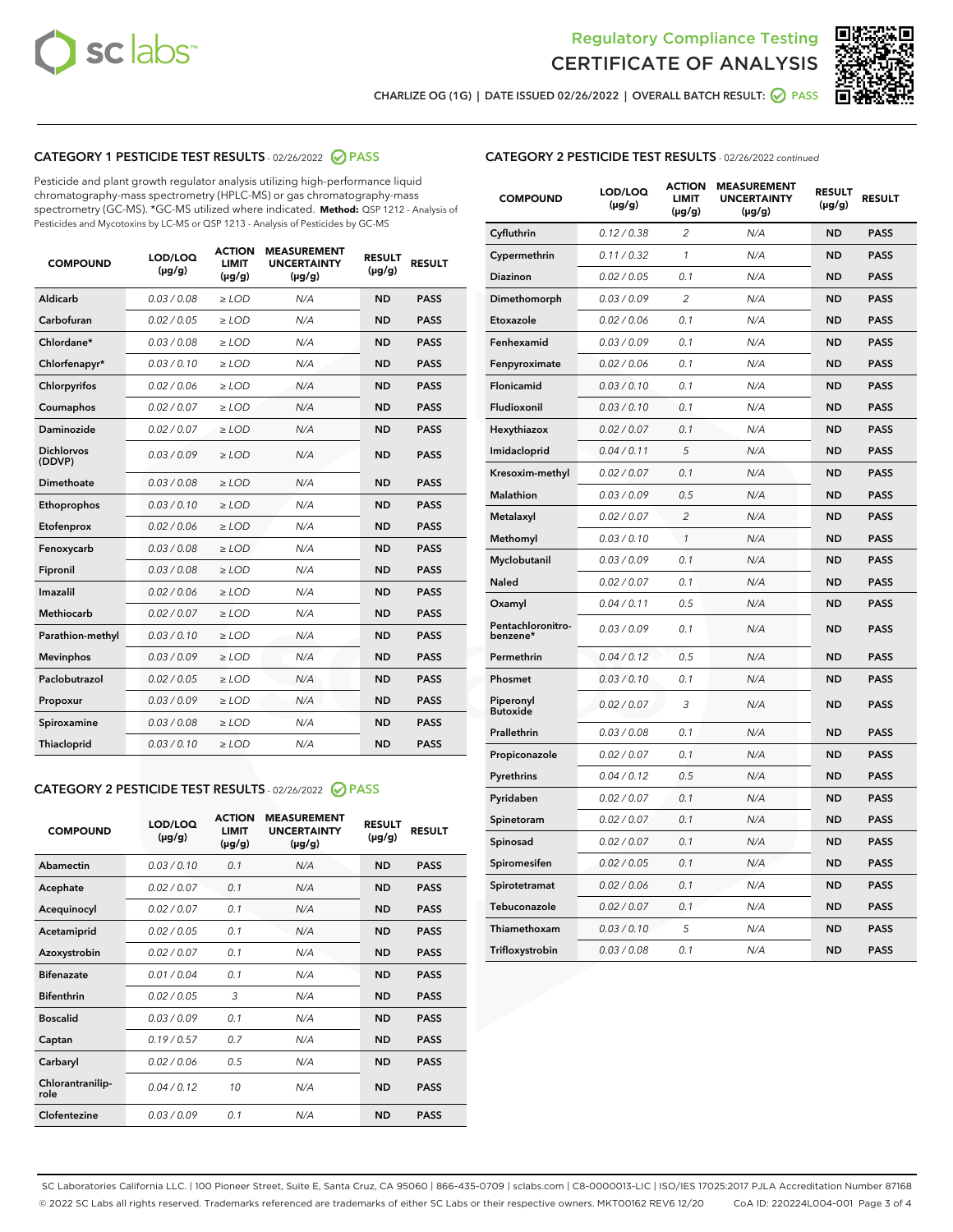



**CHARLIZE OG (1G) | DATE ISSUED 02/26/2022 | OVERALL BATCH RESULT: PASS**

# **CATEGORY 1 PESTICIDE TEST RESULTS** - 02/26/2022 **PASS**

Pesticide and plant growth regulator analysis utilizing high-performance liquid chromatography-mass spectrometry (HPLC-MS) or gas chromatography-mass spectrometry (GC-MS). \*GC-MS utilized where indicated. **Method:** QSP 1212 - Analysis of Pesticides and Mycotoxins by LC-MS or QSP 1213 - Analysis of Pesticides by GC-MS

| <b>COMPOUND</b>             | LOD/LOQ<br>$(\mu g/g)$ | <b>ACTION</b><br>LIMIT<br>$(\mu g/g)$ | <b>MEASUREMENT</b><br><b>UNCERTAINTY</b><br>$(\mu g/g)$ | <b>RESULT</b><br>$(\mu g/g)$ | <b>RESULT</b> |
|-----------------------------|------------------------|---------------------------------------|---------------------------------------------------------|------------------------------|---------------|
| Aldicarb                    | 0.03 / 0.08            | $>$ LOD                               | N/A                                                     | <b>ND</b>                    | <b>PASS</b>   |
| Carbofuran                  | 0.02 / 0.05            | ≥ LOD                                 | N/A                                                     | <b>ND</b>                    | <b>PASS</b>   |
| Chlordane*                  | 0.03/0.08              | $>$ LOD                               | N/A                                                     | <b>ND</b>                    | <b>PASS</b>   |
| Chlorfenapyr*               | 0.03/0.10              | $>$ LOD                               | N/A                                                     | <b>ND</b>                    | <b>PASS</b>   |
| Chlorpyrifos                | 0.02/0.06              | $>$ LOD                               | N/A                                                     | <b>ND</b>                    | <b>PASS</b>   |
| Coumaphos                   | 0.02 / 0.07            | $\ge$ LOD                             | N/A                                                     | <b>ND</b>                    | <b>PASS</b>   |
| Daminozide                  | 0.02 / 0.07            | $>$ LOD                               | N/A                                                     | <b>ND</b>                    | <b>PASS</b>   |
| <b>Dichlorvos</b><br>(DDVP) | 0.03/0.09              | $\geq$ LOD                            | N/A                                                     | <b>ND</b>                    | <b>PASS</b>   |
| Dimethoate                  | 0.03 / 0.08            | $>$ LOD                               | N/A                                                     | <b>ND</b>                    | <b>PASS</b>   |
| Ethoprophos                 | 0.03/0.10              | $\geq$ LOD                            | N/A                                                     | <b>ND</b>                    | <b>PASS</b>   |
| Etofenprox                  | 0.02 / 0.06            | > LOD                                 | N/A                                                     | <b>ND</b>                    | <b>PASS</b>   |
| Fenoxycarb                  | 0.03/0.08              | $>$ LOD                               | N/A                                                     | <b>ND</b>                    | <b>PASS</b>   |
| Fipronil                    | 0.03 / 0.08            | $\geq$ LOD                            | N/A                                                     | <b>ND</b>                    | <b>PASS</b>   |
| Imazalil                    | 0.02 / 0.06            | $\geq$ LOD                            | N/A                                                     | <b>ND</b>                    | <b>PASS</b>   |
| Methiocarb                  | 0.02 / 0.07            | $\ge$ LOD                             | N/A                                                     | <b>ND</b>                    | <b>PASS</b>   |
| Parathion-methyl            | 0.03/0.10              | $\geq$ LOD                            | N/A                                                     | <b>ND</b>                    | <b>PASS</b>   |
| <b>Mevinphos</b>            | 0.03/0.09              | $\geq$ LOD                            | N/A                                                     | <b>ND</b>                    | <b>PASS</b>   |
| Paclobutrazol               | 0.02 / 0.05            | $>$ LOD                               | N/A                                                     | <b>ND</b>                    | <b>PASS</b>   |
| Propoxur                    | 0.03/0.09              | $\ge$ LOD                             | N/A                                                     | <b>ND</b>                    | <b>PASS</b>   |
| Spiroxamine                 | 0.03 / 0.08            | $\geq$ LOD                            | N/A                                                     | <b>ND</b>                    | <b>PASS</b>   |
| <b>Thiacloprid</b>          | 0.03/0.10              | > LOD                                 | N/A                                                     | <b>ND</b>                    | <b>PASS</b>   |

# **CATEGORY 2 PESTICIDE TEST RESULTS** - 02/26/2022 **PASS**

| <b>COMPOUND</b>          | LOD/LOO<br>$(\mu g/g)$ | <b>ACTION</b><br><b>LIMIT</b><br>$(\mu g/g)$ | <b>MEASUREMENT</b><br><b>UNCERTAINTY</b><br>$(\mu g/g)$ | <b>RESULT</b><br>$(\mu g/g)$ | <b>RESULT</b> |  |
|--------------------------|------------------------|----------------------------------------------|---------------------------------------------------------|------------------------------|---------------|--|
| Abamectin                | 0.03/0.10              | 0.1                                          | N/A                                                     | <b>ND</b>                    | <b>PASS</b>   |  |
| Acephate                 | 0.02/0.07              | 0.1                                          | N/A                                                     | <b>ND</b>                    | <b>PASS</b>   |  |
| Acequinocyl              | 0.02/0.07              | 0.1                                          | N/A                                                     | <b>ND</b>                    | <b>PASS</b>   |  |
| Acetamiprid              | 0.02/0.05              | 0.1                                          | N/A                                                     | <b>ND</b>                    | <b>PASS</b>   |  |
| Azoxystrobin             | 0 02 / 0 07            | 0.1                                          | N/A                                                     | <b>ND</b>                    | <b>PASS</b>   |  |
| <b>Bifenazate</b>        | 0.01/0.04              | 0.1                                          | N/A                                                     | <b>ND</b>                    | <b>PASS</b>   |  |
| <b>Bifenthrin</b>        | 0.02 / 0.05            | 3                                            | N/A                                                     | <b>ND</b>                    | <b>PASS</b>   |  |
| <b>Boscalid</b>          | 0.03/0.09              | 0.1                                          | N/A                                                     | <b>ND</b>                    | <b>PASS</b>   |  |
| Captan                   | 0.19/0.57              | 0.7                                          | N/A                                                     | <b>ND</b>                    | <b>PASS</b>   |  |
| Carbaryl                 | 0.02/0.06              | 0.5                                          | N/A                                                     | <b>ND</b>                    | <b>PASS</b>   |  |
| Chlorantranilip-<br>role | 0.04/0.12              | 10                                           | N/A                                                     | <b>ND</b>                    | <b>PASS</b>   |  |
| Clofentezine             | 0.03/0.09              | 0 <sub>1</sub>                               | N/A                                                     | <b>ND</b>                    | <b>PASS</b>   |  |

## **CATEGORY 2 PESTICIDE TEST RESULTS** - 02/26/2022 continued

| <b>COMPOUND</b>               | LOD/LOQ<br>(µg/g) | <b>ACTION</b><br>LIMIT<br>$(\mu g/g)$ | <b>MEASUREMENT</b><br><b>UNCERTAINTY</b><br>$(\mu g/g)$ | <b>RESULT</b><br>(µg/g) | <b>RESULT</b> |
|-------------------------------|-------------------|---------------------------------------|---------------------------------------------------------|-------------------------|---------------|
| Cyfluthrin                    | 0.12 / 0.38       | $\overline{c}$                        | N/A                                                     | ND                      | <b>PASS</b>   |
| Cypermethrin                  | 0.11 / 0.32       | 1                                     | N/A                                                     | <b>ND</b>               | <b>PASS</b>   |
| Diazinon                      | 0.02 / 0.05       | 0.1                                   | N/A                                                     | <b>ND</b>               | <b>PASS</b>   |
| Dimethomorph                  | 0.03 / 0.09       | $\overline{c}$                        | N/A                                                     | ND                      | <b>PASS</b>   |
| Etoxazole                     | 0.02 / 0.06       | 0.1                                   | N/A                                                     | <b>ND</b>               | <b>PASS</b>   |
| Fenhexamid                    | 0.03 / 0.09       | 0.1                                   | N/A                                                     | ND                      | <b>PASS</b>   |
| Fenpyroximate                 | 0.02 / 0.06       | 0.1                                   | N/A                                                     | ND                      | <b>PASS</b>   |
| Flonicamid                    | 0.03 / 0.10       | 0.1                                   | N/A                                                     | ND                      | <b>PASS</b>   |
| Fludioxonil                   | 0.03/0.10         | 0.1                                   | N/A                                                     | ND                      | <b>PASS</b>   |
| Hexythiazox                   | 0.02 / 0.07       | 0.1                                   | N/A                                                     | ND                      | <b>PASS</b>   |
| Imidacloprid                  | 0.04 / 0.11       | 5                                     | N/A                                                     | ND                      | <b>PASS</b>   |
| Kresoxim-methyl               | 0.02 / 0.07       | 0.1                                   | N/A                                                     | ND                      | <b>PASS</b>   |
| Malathion                     | 0.03 / 0.09       | 0.5                                   | N/A                                                     | <b>ND</b>               | <b>PASS</b>   |
| Metalaxyl                     | 0.02 / 0.07       | $\overline{c}$                        | N/A                                                     | <b>ND</b>               | <b>PASS</b>   |
| Methomyl                      | 0.03 / 0.10       | $\mathcal{I}$                         | N/A                                                     | <b>ND</b>               | <b>PASS</b>   |
| Myclobutanil                  | 0.03 / 0.09       | 0.1                                   | N/A                                                     | <b>ND</b>               | <b>PASS</b>   |
| <b>Naled</b>                  | 0.02 / 0.07       | 0.1                                   | N/A                                                     | ND                      | <b>PASS</b>   |
| Oxamyl                        | 0.04 / 0.11       | 0.5                                   | N/A                                                     | ND                      | <b>PASS</b>   |
| Pentachloronitro-<br>benzene* | 0.03 / 0.09       | 0.1                                   | N/A                                                     | <b>ND</b>               | <b>PASS</b>   |
| Permethrin                    | 0.04 / 0.12       | 0.5                                   | N/A                                                     | ND                      | <b>PASS</b>   |
| Phosmet                       | 0.03/0.10         | 0.1                                   | N/A                                                     | ND                      | <b>PASS</b>   |
| Piperonyl<br><b>Butoxide</b>  | 0.02 / 0.07       | 3                                     | N/A                                                     | ND                      | <b>PASS</b>   |
| Prallethrin                   | 0.03 / 0.08       | 0.1                                   | N/A                                                     | ND                      | <b>PASS</b>   |
| Propiconazole                 | 0.02 / 0.07       | 0.1                                   | N/A                                                     | ND                      | <b>PASS</b>   |
| Pyrethrins                    | 0.04 / 0.12       | 0.5                                   | N/A                                                     | <b>ND</b>               | <b>PASS</b>   |
| Pyridaben                     | 0.02 / 0.07       | 0.1                                   | N/A                                                     | ND                      | <b>PASS</b>   |
| Spinetoram                    | 0.02 / 0.07       | 0.1                                   | N/A                                                     | ND                      | <b>PASS</b>   |
| Spinosad                      | 0.02 / 0.07       | 0.1                                   | N/A                                                     | <b>ND</b>               | <b>PASS</b>   |
| Spiromesifen                  | 0.02 / 0.05       | 0.1                                   | N/A                                                     | ND                      | <b>PASS</b>   |
| Spirotetramat                 | 0.02 / 0.06       | 0.1                                   | N/A                                                     | ND                      | <b>PASS</b>   |
| Tebuconazole                  | 0.02 / 0.07       | 0.1                                   | N/A                                                     | ND                      | <b>PASS</b>   |
| Thiamethoxam                  | 0.03 / 0.10       | 5                                     | N/A                                                     | ND                      | <b>PASS</b>   |
| Trifloxystrobin               | 0.03 / 0.08       | 0.1                                   | N/A                                                     | <b>ND</b>               | <b>PASS</b>   |

SC Laboratories California LLC. | 100 Pioneer Street, Suite E, Santa Cruz, CA 95060 | 866-435-0709 | sclabs.com | C8-0000013-LIC | ISO/IES 17025:2017 PJLA Accreditation Number 87168 © 2022 SC Labs all rights reserved. Trademarks referenced are trademarks of either SC Labs or their respective owners. MKT00162 REV6 12/20 CoA ID: 220224L004-001 Page 3 of 4